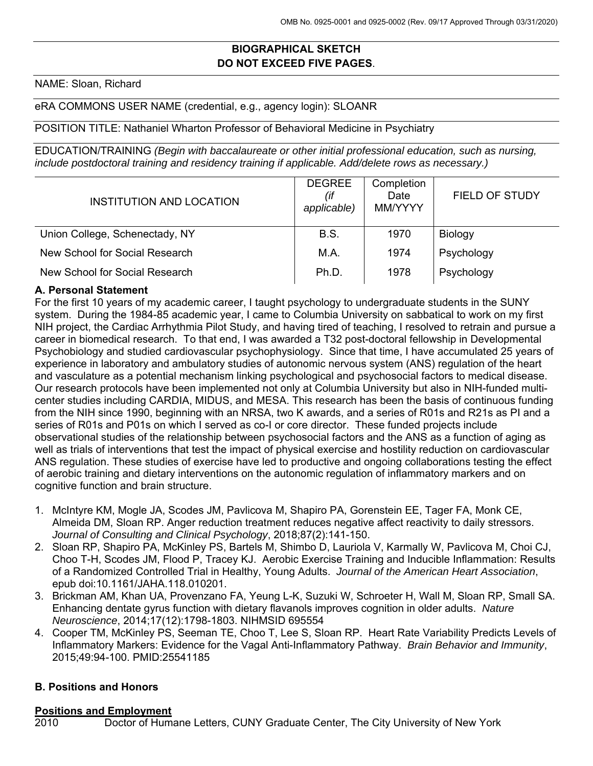# **BIOGRAPHICAL SKETCH DO NOT EXCEED FIVE PAGES**.

NAME: Sloan, Richard

#### eRA COMMONS USER NAME (credential, e.g., agency login): SLOANR

### POSITION TITLE: Nathaniel Wharton Professor of Behavioral Medicine in Psychiatry

EDUCATION/TRAINING *(Begin with baccalaureate or other initial professional education, such as nursing, include postdoctoral training and residency training if applicable. Add/delete rows as necessary.)*

| INSTITUTION AND LOCATION       | <b>DEGREE</b><br>(if<br>applicable) | Completion<br>Date<br>MM/YYYY | <b>FIELD OF STUDY</b> |
|--------------------------------|-------------------------------------|-------------------------------|-----------------------|
| Union College, Schenectady, NY | <b>B.S.</b>                         | 1970                          | <b>Biology</b>        |
| New School for Social Research | M.A.                                | 1974                          | Psychology            |
| New School for Social Research | Ph.D.                               | 1978                          | Psychology            |

#### **A. Personal Statement**

For the first 10 years of my academic career, I taught psychology to undergraduate students in the SUNY system. During the 1984-85 academic year, I came to Columbia University on sabbatical to work on my first NIH project, the Cardiac Arrhythmia Pilot Study, and having tired of teaching, I resolved to retrain and pursue a career in biomedical research. To that end, I was awarded a T32 post-doctoral fellowship in Developmental Psychobiology and studied cardiovascular psychophysiology. Since that time, I have accumulated 25 years of experience in laboratory and ambulatory studies of autonomic nervous system (ANS) regulation of the heart and vasculature as a potential mechanism linking psychological and psychosocial factors to medical disease. Our research protocols have been implemented not only at Columbia University but also in NIH-funded multicenter studies including CARDIA, MIDUS, and MESA. This research has been the basis of continuous funding from the NIH since 1990, beginning with an NRSA, two K awards, and a series of R01s and R21s as PI and a series of R01s and P01s on which I served as co-I or core director. These funded projects include observational studies of the relationship between psychosocial factors and the ANS as a function of aging as well as trials of interventions that test the impact of physical exercise and hostility reduction on cardiovascular ANS regulation. These studies of exercise have led to productive and ongoing collaborations testing the effect of aerobic training and dietary interventions on the autonomic regulation of inflammatory markers and on cognitive function and brain structure.

- 1. McIntyre KM, Mogle JA, Scodes JM, Pavlicova M, Shapiro PA, Gorenstein EE, Tager FA, Monk CE, Almeida DM, Sloan RP. Anger reduction treatment reduces negative affect reactivity to daily stressors. *Journal of Consulting and Clinical Psychology*, 2018;87(2):141-150.
- 2. Sloan RP, Shapiro PA, McKinley PS, Bartels M, Shimbo D, Lauriola V, Karmally W, Pavlicova M, Choi CJ, Choo T-H, Scodes JM, Flood P, Tracey KJ. Aerobic Exercise Training and Inducible Inflammation: Results of a Randomized Controlled Trial in Healthy, Young Adults. *Journal of the American Heart Association*, epub doi:10.1161/JAHA.118.010201.
- 3. Brickman AM, Khan UA, Provenzano FA, Yeung L-K, Suzuki W, Schroeter H, Wall M, Sloan RP, Small SA. Enhancing dentate gyrus function with dietary flavanols improves cognition in older adults. *Nature Neuroscience*, 2014;17(12):1798-1803. NIHMSID 695554
- 4. Cooper TM, McKinley PS, Seeman TE, Choo T, Lee S, Sloan RP. Heart Rate Variability Predicts Levels of Inflammatory Markers: Evidence for the Vagal Anti-Inflammatory Pathway. *Brain Behavior and Immunity*, 2015;49:94-100. PMID:25541185

#### **B. Positions and Honors**

#### **Positions and Employment**

2010 Doctor of Humane Letters, CUNY Graduate Center, The City University of New York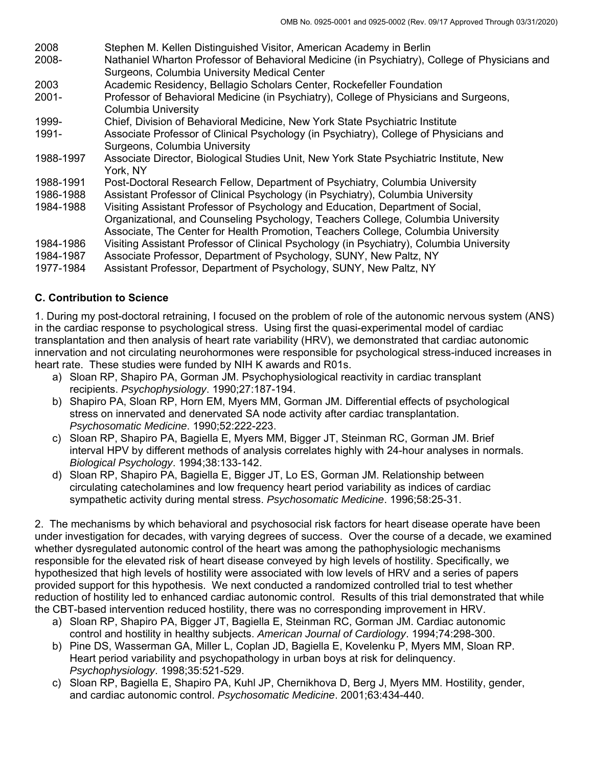- 2008 Stephen M. Kellen Distinguished Visitor, American Academy in Berlin
- 2008- Nathaniel Wharton Professor of Behavioral Medicine (in Psychiatry), College of Physicians and Surgeons, Columbia University Medical Center
- 2003 Academic Residency, Bellagio Scholars Center, Rockefeller Foundation
- 2001- Professor of Behavioral Medicine (in Psychiatry), College of Physicians and Surgeons, Columbia University
- 1999- Chief, Division of Behavioral Medicine, New York State Psychiatric Institute
- 1991- Associate Professor of Clinical Psychology (in Psychiatry), College of Physicians and Surgeons, Columbia University
- 1988-1997 Associate Director, Biological Studies Unit, New York State Psychiatric Institute, New York, NY
- 1988-1991 Post-Doctoral Research Fellow, Department of Psychiatry, Columbia University
- 1986-1988 Assistant Professor of Clinical Psychology (in Psychiatry), Columbia University
- 1984-1988 Visiting Assistant Professor of Psychology and Education, Department of Social, Organizational, and Counseling Psychology, Teachers College, Columbia University Associate, The Center for Health Promotion, Teachers College, Columbia University
- 1984-1986 Visiting Assistant Professor of Clinical Psychology (in Psychiatry), Columbia University
- 1984-1987 Associate Professor, Department of Psychology, SUNY, New Paltz, NY
- 1977-1984 Assistant Professor, Department of Psychology, SUNY, New Paltz, NY

# **C. Contribution to Science**

1. During my post-doctoral retraining, I focused on the problem of role of the autonomic nervous system (ANS) in the cardiac response to psychological stress. Using first the quasi-experimental model of cardiac transplantation and then analysis of heart rate variability (HRV), we demonstrated that cardiac autonomic innervation and not circulating neurohormones were responsible for psychological stress-induced increases in heart rate. These studies were funded by NIH K awards and R01s.

- a) Sloan RP, Shapiro PA, Gorman JM. Psychophysiological reactivity in cardiac transplant recipients. *Psychophysiology*. 1990;27:187-194.
- b) Shapiro PA, Sloan RP, Horn EM, Myers MM, Gorman JM. Differential effects of psychological stress on innervated and denervated SA node activity after cardiac transplantation. *Psychosomatic Medicine*. 1990;52:222-223.
- c) Sloan RP, Shapiro PA, Bagiella E, Myers MM, Bigger JT, Steinman RC, Gorman JM. Brief interval HPV by different methods of analysis correlates highly with 24-hour analyses in normals. *Biological Psychology*. 1994;38:133-142.
- d) Sloan RP, Shapiro PA, Bagiella E, Bigger JT, Lo ES, Gorman JM. Relationship between circulating catecholamines and low frequency heart period variability as indices of cardiac sympathetic activity during mental stress. *Psychosomatic Medicine*. 1996;58:25-31.

2. The mechanisms by which behavioral and psychosocial risk factors for heart disease operate have been under investigation for decades, with varying degrees of success. Over the course of a decade, we examined whether dysregulated autonomic control of the heart was among the pathophysiologic mechanisms responsible for the elevated risk of heart disease conveyed by high levels of hostility. Specifically, we hypothesized that high levels of hostility were associated with low levels of HRV and a series of papers provided support for this hypothesis. We next conducted a randomized controlled trial to test whether reduction of hostility led to enhanced cardiac autonomic control. Results of this trial demonstrated that while the CBT-based intervention reduced hostility, there was no corresponding improvement in HRV.

- a) Sloan RP, Shapiro PA, Bigger JT, Bagiella E, Steinman RC, Gorman JM. Cardiac autonomic control and hostility in healthy subjects. *American Journal of Cardiology*. 1994;74:298-300.
- b) Pine DS, Wasserman GA, Miller L, Coplan JD, Bagiella E, Kovelenku P, Myers MM, Sloan RP. Heart period variability and psychopathology in urban boys at risk for delinquency. *Psychophysiology*. 1998;35:521-529.
- c) Sloan RP, Bagiella E, Shapiro PA, Kuhl JP, Chernikhova D, Berg J, Myers MM. Hostility, gender, and cardiac autonomic control. *Psychosomatic Medicine*. 2001;63:434-440.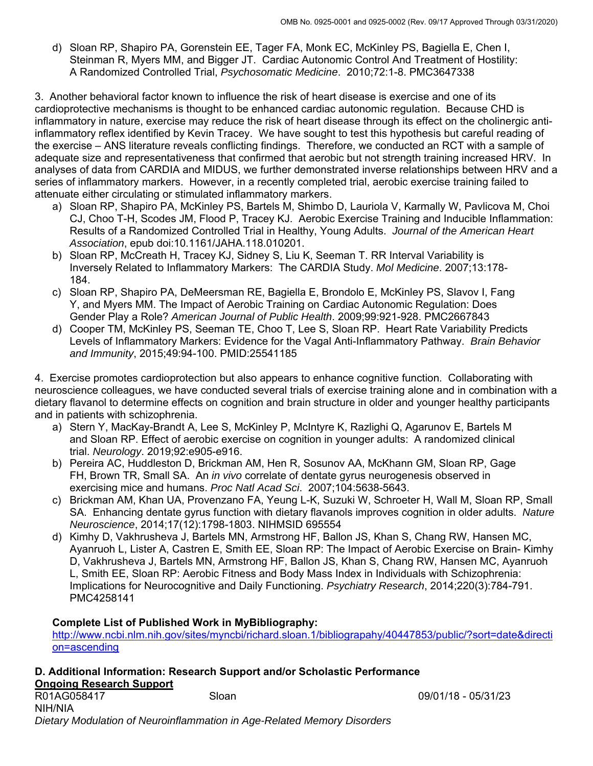d) Sloan RP, Shapiro PA, Gorenstein EE, Tager FA, Monk EC, McKinley PS, Bagiella E, Chen I, Steinman R, Myers MM, and Bigger JT. Cardiac Autonomic Control And Treatment of Hostility: A Randomized Controlled Trial, *Psychosomatic Medicine*. 2010;72:1-8. PMC3647338

3. Another behavioral factor known to influence the risk of heart disease is exercise and one of its cardioprotective mechanisms is thought to be enhanced cardiac autonomic regulation. Because CHD is inflammatory in nature, exercise may reduce the risk of heart disease through its effect on the cholinergic antiinflammatory reflex identified by Kevin Tracey. We have sought to test this hypothesis but careful reading of the exercise – ANS literature reveals conflicting findings. Therefore, we conducted an RCT with a sample of adequate size and representativeness that confirmed that aerobic but not strength training increased HRV. In analyses of data from CARDIA and MIDUS, we further demonstrated inverse relationships between HRV and a series of inflammatory markers. However, in a recently completed trial, aerobic exercise training failed to attenuate either circulating or stimulated inflammatory markers.

- a) Sloan RP, Shapiro PA, McKinley PS, Bartels M, Shimbo D, Lauriola V, Karmally W, Pavlicova M, Choi CJ, Choo T-H, Scodes JM, Flood P, Tracey KJ. Aerobic Exercise Training and Inducible Inflammation: Results of a Randomized Controlled Trial in Healthy, Young Adults. *Journal of the American Heart Association*, epub doi:10.1161/JAHA.118.010201.
- b) Sloan RP, McCreath H, Tracey KJ, Sidney S, Liu K, Seeman T. RR Interval Variability is Inversely Related to Inflammatory Markers: The CARDIA Study. *Mol Medicine*. 2007;13:178- 184.
- c) Sloan RP, Shapiro PA, DeMeersman RE, Bagiella E, Brondolo E, McKinley PS, Slavov I, Fang Y, and Myers MM. The Impact of Aerobic Training on Cardiac Autonomic Regulation: Does Gender Play a Role? *American Journal of Public Health*. 2009;99:921-928. PMC2667843
- d) Cooper TM, McKinley PS, Seeman TE, Choo T, Lee S, Sloan RP. Heart Rate Variability Predicts Levels of Inflammatory Markers: Evidence for the Vagal Anti-Inflammatory Pathway. *Brain Behavior and Immunity*, 2015;49:94-100. PMID:25541185

4. Exercise promotes cardioprotection but also appears to enhance cognitive function. Collaborating with neuroscience colleagues, we have conducted several trials of exercise training alone and in combination with a dietary flavanol to determine effects on cognition and brain structure in older and younger healthy participants and in patients with schizophrenia.

- a) Stern Y, MacKay-Brandt A, Lee S, McKinley P, McIntyre K, Razlighi Q, Agarunov E, Bartels M and Sloan RP. Effect of aerobic exercise on cognition in younger adults: A randomized clinical trial. *Neurology*. 2019;92:e905-e916.
- b) Pereira AC, Huddleston D, Brickman AM, Hen R, Sosunov AA, McKhann GM, Sloan RP, Gage FH, Brown TR, Small SA. An *in vivo* correlate of dentate gyrus neurogenesis observed in exercising mice and humans. *Proc Natl Acad Sci*. 2007;104:5638-5643.
- c) Brickman AM, Khan UA, Provenzano FA, Yeung L-K, Suzuki W, Schroeter H, Wall M, Sloan RP, Small SA. Enhancing dentate gyrus function with dietary flavanols improves cognition in older adults. *Nature Neuroscience*, 2014;17(12):1798-1803. NIHMSID 695554
- d) Kimhy D, Vakhrusheva J, Bartels MN, Armstrong HF, Ballon JS, Khan S, Chang RW, Hansen MC, Ayanruoh L, Lister A, Castren E, Smith EE, Sloan RP: The Impact of Aerobic Exercise on Brain- Kimhy D, Vakhrusheva J, Bartels MN, Armstrong HF, Ballon JS, Khan S, Chang RW, Hansen MC, Ayanruoh L, Smith EE, Sloan RP: Aerobic Fitness and Body Mass Index in Individuals with Schizophrenia: Implications for Neurocognitive and Daily Functioning. *Psychiatry Research*, 2014;220(3):784-791. PMC4258141

# **Complete List of Published Work in MyBibliography:**

http://www.ncbi.nlm.nih.gov/sites/myncbi/richard.sloan.1/bibliograpahy/40447853/public/?sort=date&directi on=ascending

# **D. Additional Information: Research Support and/or Scholastic Performance**

**Ongoing Research Support**  R01AG058417 Sloan 09/01/18 - 05/31/23 NIH/NIA *Dietary Modulation of Neuroinflammation in Age-Related Memory Disorders*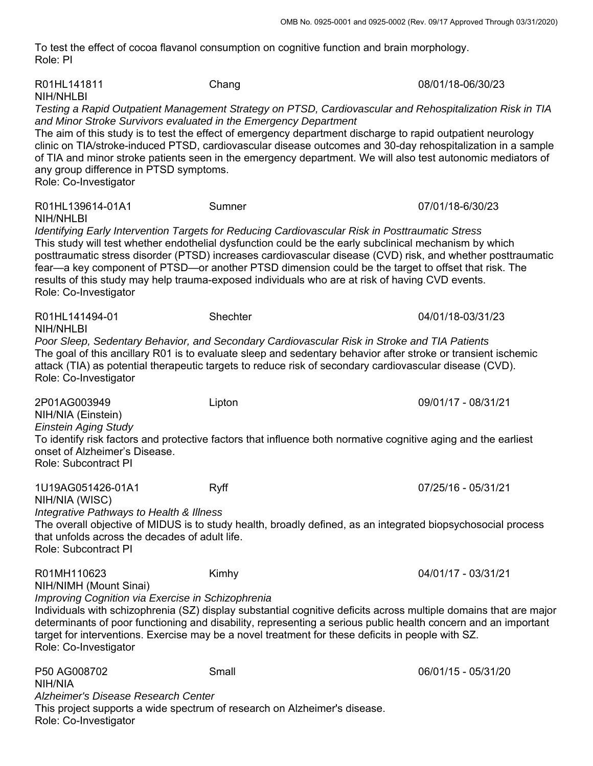To test the effect of cocoa flavanol consumption on cognitive function and brain morphology. Role: PI

| R01HL141811<br>NIH/NHLBI                                                                                                                                                                                                                                                                                                                                                                                                                                                                                                                                                        | Chang                                                                                                                                                                                                                                                                                                                                                                                                                                                 | 08/01/18-06/30/23   |  |  |
|---------------------------------------------------------------------------------------------------------------------------------------------------------------------------------------------------------------------------------------------------------------------------------------------------------------------------------------------------------------------------------------------------------------------------------------------------------------------------------------------------------------------------------------------------------------------------------|-------------------------------------------------------------------------------------------------------------------------------------------------------------------------------------------------------------------------------------------------------------------------------------------------------------------------------------------------------------------------------------------------------------------------------------------------------|---------------------|--|--|
| and Minor Stroke Survivors evaluated in the Emergency Department<br>any group difference in PTSD symptoms.<br>Role: Co-Investigator                                                                                                                                                                                                                                                                                                                                                                                                                                             | Testing a Rapid Outpatient Management Strategy on PTSD, Cardiovascular and Rehospitalization Risk in TIA<br>The aim of this study is to test the effect of emergency department discharge to rapid outpatient neurology<br>clinic on TIA/stroke-induced PTSD, cardiovascular disease outcomes and 30-day rehospitalization in a sample<br>of TIA and minor stroke patients seen in the emergency department. We will also test autonomic mediators of |                     |  |  |
| R01HL139614-01A1                                                                                                                                                                                                                                                                                                                                                                                                                                                                                                                                                                | Sumner                                                                                                                                                                                                                                                                                                                                                                                                                                                | 07/01/18-6/30/23    |  |  |
| <b>NIH/NHLBI</b><br>Identifying Early Intervention Targets for Reducing Cardiovascular Risk in Posttraumatic Stress<br>This study will test whether endothelial dysfunction could be the early subclinical mechanism by which<br>posttraumatic stress disorder (PTSD) increases cardiovascular disease (CVD) risk, and whether posttraumatic<br>fear—a key component of PTSD—or another PTSD dimension could be the target to offset that risk. The<br>results of this study may help trauma-exposed individuals who are at risk of having CVD events.<br>Role: Co-Investigator |                                                                                                                                                                                                                                                                                                                                                                                                                                                       |                     |  |  |
| R01HL141494-01<br>NIH/NHLBI                                                                                                                                                                                                                                                                                                                                                                                                                                                                                                                                                     | Shechter                                                                                                                                                                                                                                                                                                                                                                                                                                              | 04/01/18-03/31/23   |  |  |
| Poor Sleep, Sedentary Behavior, and Secondary Cardiovascular Risk in Stroke and TIA Patients<br>The goal of this ancillary R01 is to evaluate sleep and sedentary behavior after stroke or transient ischemic<br>attack (TIA) as potential therapeutic targets to reduce risk of secondary cardiovascular disease (CVD).<br>Role: Co-Investigator                                                                                                                                                                                                                               |                                                                                                                                                                                                                                                                                                                                                                                                                                                       |                     |  |  |
| 2P01AG003949<br>NIH/NIA (Einstein)                                                                                                                                                                                                                                                                                                                                                                                                                                                                                                                                              | Lipton                                                                                                                                                                                                                                                                                                                                                                                                                                                | 09/01/17 - 08/31/21 |  |  |
| <b>Einstein Aging Study</b><br>To identify risk factors and protective factors that influence both normative cognitive aging and the earliest<br>onset of Alzheimer's Disease.<br>Role: Subcontract PI                                                                                                                                                                                                                                                                                                                                                                          |                                                                                                                                                                                                                                                                                                                                                                                                                                                       |                     |  |  |
| 1U19AG051426-01A1<br>NIH/NIA (WISC)                                                                                                                                                                                                                                                                                                                                                                                                                                                                                                                                             | Ryff                                                                                                                                                                                                                                                                                                                                                                                                                                                  | 07/25/16 - 05/31/21 |  |  |
| Integrative Pathways to Health & Illness<br>that unfolds across the decades of adult life.<br><b>Role: Subcontract PI</b>                                                                                                                                                                                                                                                                                                                                                                                                                                                       | The overall objective of MIDUS is to study health, broadly defined, as an integrated biopsychosocial process                                                                                                                                                                                                                                                                                                                                          |                     |  |  |
| R01MH110623<br>NIH/NIMH (Mount Sinai)                                                                                                                                                                                                                                                                                                                                                                                                                                                                                                                                           | Kimhy                                                                                                                                                                                                                                                                                                                                                                                                                                                 | 04/01/17 - 03/31/21 |  |  |
| Improving Cognition via Exercise in Schizophrenia<br>Role: Co-Investigator                                                                                                                                                                                                                                                                                                                                                                                                                                                                                                      | Individuals with schizophrenia (SZ) display substantial cognitive deficits across multiple domains that are major<br>determinants of poor functioning and disability, representing a serious public health concern and an important<br>target for interventions. Exercise may be a novel treatment for these deficits in people with SZ.                                                                                                              |                     |  |  |
| P50 AG008702<br>NIH/NIA                                                                                                                                                                                                                                                                                                                                                                                                                                                                                                                                                         | Small                                                                                                                                                                                                                                                                                                                                                                                                                                                 | 06/01/15 - 05/31/20 |  |  |
| Alzheimer's Disease Research Center<br>Role: Co-Investigator                                                                                                                                                                                                                                                                                                                                                                                                                                                                                                                    | This project supports a wide spectrum of research on Alzheimer's disease.                                                                                                                                                                                                                                                                                                                                                                             |                     |  |  |